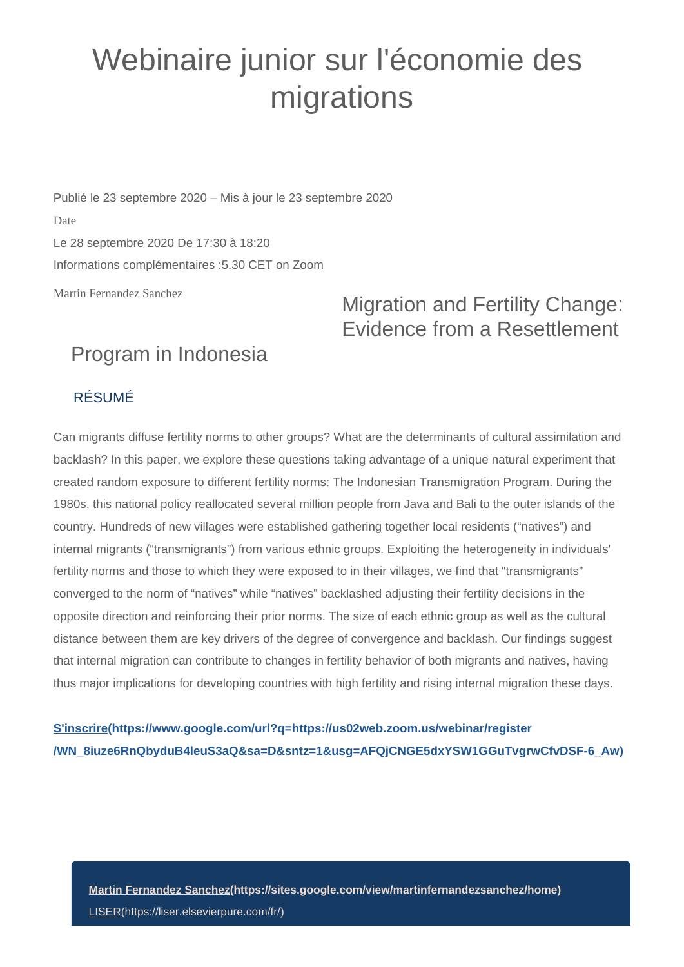## Webinaire junior sur l'économie des migrations

Publié le 23 septembre 2020 – Mis à jour le 23 septembre 2020 Date Le 28 septembre 2020 De 17:30 à 18:20 Informations complémentaires :5.30 CET on Zoom

Martin Fernandez Sanchez

Migration and Fertility Change: Evidence from a Resettlement

## Program in Indonesia

## RÉSUMÉ

Can migrants diffuse fertility norms to other groups? What are the determinants of cultural assimilation and backlash? In this paper, we explore these questions taking advantage of a unique natural experiment that created random exposure to different fertility norms: The Indonesian Transmigration Program. During the 1980s, this national policy reallocated several million people from Java and Bali to the outer islands of the country. Hundreds of new villages were established gathering together local residents ("natives") and internal migrants ("transmigrants") from various ethnic groups. Exploiting the heterogeneity in individuals' fertility norms and those to which they were exposed to in their villages, we find that "transmigrants" converged to the norm of "natives" while "natives" backlashed adjusting their fertility decisions in the opposite direction and reinforcing their prior norms. The size of each ethnic group as well as the cultural distance between them are key drivers of the degree of convergence and backlash. Our findings suggest that internal migration can contribute to changes in fertility behavior of both migrants and natives, having thus major implications for developing countries with high fertility and rising internal migration these days.

**[S'inscrire\(https://www.google.com/url?q=https://us02web.zoom.us/webinar/register](https://www.google.com/url?q=https://us02web.zoom.us/webinar/register/WN_8iuze6RnQbyduB4leuS3aQ&sa=D&sntz=1&usg=AFQjCNGE5dxYSW1GGuTvgrwCfvDSF-6_Aw) [/WN\\_8iuze6RnQbyduB4leuS3aQ&sa=D&sntz=1&usg=AFQjCNGE5dxYSW1GGuTvgrwCfvDSF-6\\_Aw\)](https://www.google.com/url?q=https://us02web.zoom.us/webinar/register/WN_8iuze6RnQbyduB4leuS3aQ&sa=D&sntz=1&usg=AFQjCNGE5dxYSW1GGuTvgrwCfvDSF-6_Aw)**

**[Martin Fernandez Sanchez\(https://sites.google.com/view/martinfernandezsanchez/home\)](https://sites.google.com/view/martinfernandezsanchez/home)** [LISER\(https://liser.elsevierpure.com/fr/\)](https://liser.elsevierpure.com/fr/)